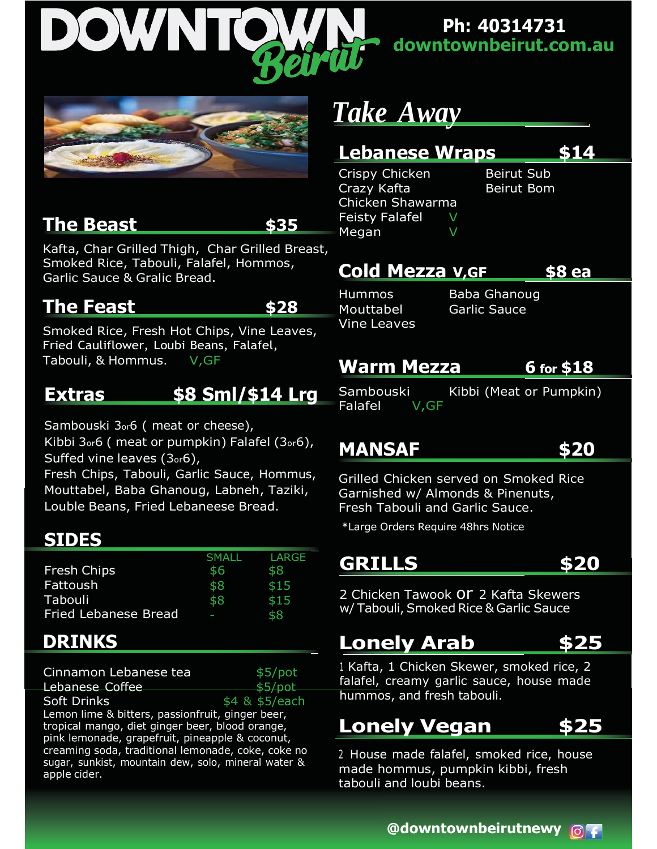

**Ph: 40314731 downtownbeirut.com.au**



#### **The Beast \$35**

Kafta, Char Grilled Thigh, Char Grilled Breast, Smoked Rice, Tabouli, Falafel, Hommos, Garlic Sauce & Gralic Bread.

#### **The Feast \$28**

Smoked Rice, Fresh Hot Chips, Vine Leaves, Fried Cauliflower, Loubi Beans, Falafel, Tabouli, & Hommus. V, GF

#### **Extras \$8 Sml/\$14 Lrg**

Sambouski 3or6 ( meat or cheese), Kibbi 3or6 ( meat or pumpkin) Falafel (3or6), Suffed vine leaves (3or6),

Fresh Chips, Tabouli, Garlic Sauce, Hommus, Mouttabel, Baba Ghanoug, Labneh, Taziki, Louble Beans, Fried Lebaneese Bread.

#### **SIDES**

|                             | SMALL | LARGE |
|-----------------------------|-------|-------|
| <b>Fresh Chips</b>          | \$6   | \$8   |
| Fattoush                    | \$8   | \$15  |
| Tabouli                     | \$8   | \$15  |
| <b>Fried Lebanese Bread</b> | ı     | \$8   |

#### **DRINKS**

| Cinnamon Lebanese tea                               | \$5/pot        |  |
|-----------------------------------------------------|----------------|--|
| <b>Lebanese Coffee</b>                              | dE/net         |  |
| Soft Drinks                                         | \$4 & \$5/each |  |
| Lemon lime & bitters, passionfruit, ginger beer,    |                |  |
| tropical mango, diet ginger beer, blood orange,     |                |  |
| pink lemonade, grapefruit, pineapple & coconut,     |                |  |
| creaming soda, traditional lemonade, coke, coke no  |                |  |
| sugar, sunkist, mountain dew, solo, mineral water & |                |  |
| apple cider.                                        |                |  |

# *Take Away*

#### **Lebanese Wraps \$14**

Crispy Chicken Beirut Sub Crazy Kafta Beirut Bom Chicken Shawarma Feisty Falafel V Megan V

## **Cold Mezza V,GF \$8 ea**

Vine Leaves

Hummos Baba Ghanoug Mouttabel Garlic Sauce

#### **Warm Mezza 6 for \$18**

Sambouski Kibbi (Meat or Pumpkin) Falafel V,GF

## **MANSAF \$20**



Grilled Chicken served on Smoked Rice Garnished w/ Almonds & Pinenuts, Fresh Tabouli and Garlic Sauce.

\*Large Orders Require 48hrs Notice

**GRILLS \$20**

2 Chicken Tawook or 2 Kafta Skewers w/ Tabouli, Smoked Rice & Garlic Sauce

#### **Lonely Arab \$25**

<sup>1</sup> Kafta, 1 Chicken Skewer, smoked rice, 2 falafel, creamy garlic sauce, house made hummos, and fresh tabouli.

#### **Lonely Vegan \$25**

<sup>2</sup> House made falafel, smoked rice, house made hommus, pumpkin kibbi, fresh tabouli and loubi beans.